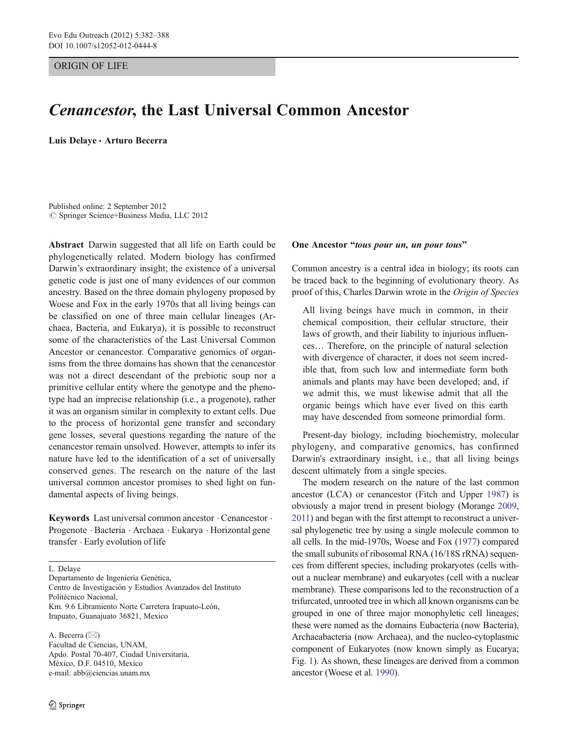ORIGIN OF LIFE

# Cenancestor, the Last Universal Common Ancestor

Luis Delaye · Arturo Becerra

Published online: 2 September 2012  $\oslash$  Springer Science+Business Media, LLC 2012

Abstract Darwin suggested that all life on Earth could be phylogenetically related. Modern biology has confirmed Darwin's extraordinary insight; the existence of a universal genetic code is just one of many evidences of our common ancestry. Based on the three domain phylogeny proposed by Woese and Fox in the early 1970s that all living beings can be classified on one of three main cellular lineages (Archaea, Bacteria, and Eukarya), it is possible to reconstruct some of the characteristics of the Last Universal Common Ancestor or cenancestor. Comparative genomics of organisms from the three domains has shown that the cenancestor was not a direct descendant of the prebiotic soup nor a primitive cellular entity where the genotype and the phenotype had an imprecise relationship (i.e., a progenote), rather it was an organism similar in complexity to extant cells. Due to the process of horizontal gene transfer and secondary gene losses, several questions regarding the nature of the cenancestor remain unsolved. However, attempts to infer its nature have led to the identification of a set of universally conserved genes. The research on the nature of the last universal common ancestor promises to shed light on fundamental aspects of living beings.

Keywords Last universal common ancestor . Cenancestor . Progenote . Bacteria . Archaea . Eukarya . Horizontal gene transfer . Early evolution of life

L. Delaye

Departamento de Ingeniería Genética, Centro de Investigación y Estudios Avanzados del Instituto Politécnico Nacional, Km. 9.6 Libramiento Norte Carretera Irapuato-León, Irapuato, Guanajuato 36821, Mexico

A. Becerra  $(\boxtimes)$ Facultad de Ciencias, UNAM, Apdo. Postal 70-407, Ciudad Universitaria, México, D.F. 04510, Mexico e-mail: abb@ciencias.unam.mx

## One Ancestor "tous pour un, un pour tous"

Common ancestry is a central idea in biology; its roots can be traced back to the beginning of evolutionary theory. As proof of this, Charles Darwin wrote in the Origin of Species

All living beings have much in common, in their chemical composition, their cellular structure, their laws of growth, and their liability to injurious influences… Therefore, on the principle of natural selection with divergence of character, it does not seem incredible that, from such low and intermediate form both animals and plants may have been developed; and, if we admit this, we must likewise admit that all the organic beings which have ever lived on this earth may have descended from someone primordial form.

Present-day biology, including biochemistry, molecular phylogeny, and comparative genomics, has confirmed Darwin's extraordinary insight, i.e., that all living beings descent ultimately from a single species.

The modern research on the nature of the last common ancestor (LCA) or cenancestor (Fitch and Upper [1987](#page-5-0)) is obviously a major trend in present biology (Morange [2009,](#page-6-0) [2011](#page-6-0)) and began with the first attempt to reconstruct a universal phylogenetic tree by using a single molecule common to all cells. In the mid-1970s, Woese and Fox [\(1977\)](#page-6-0) compared the small subunits of ribosomal RNA (16/18S rRNA) sequences from different species, including prokaryotes (cells without a nuclear membrane) and eukaryotes (cell with a nuclear membrane). These comparisons led to the reconstruction of a trifurcated, unrooted tree in which all known organisms can be grouped in one of three major monophyletic cell lineages; these were named as the domains Eubacteria (now Bacteria), Archaeabacteria (now Archaea), and the nucleo-cytoplasmic component of Eukaryotes (now known simply as Eucarya; Fig. [1\)](#page-1-0). As shown, these lineages are derived from a common ancestor (Woese et al. [1990\)](#page-6-0).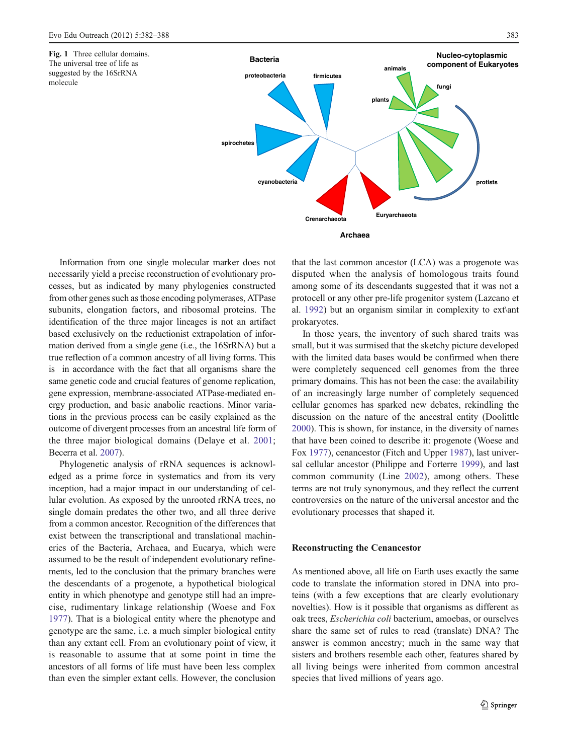<span id="page-1-0"></span>

**Archaea**

Information from one single molecular marker does not necessarily yield a precise reconstruction of evolutionary processes, but as indicated by many phylogenies constructed from other genes such as those encoding polymerases, ATPase subunits, elongation factors, and ribosomal proteins. The identification of the three major lineages is not an artifact based exclusively on the reductionist extrapolation of information derived from a single gene (i.e., the 16SrRNA) but a true reflection of a common ancestry of all living forms. This is in accordance with the fact that all organisms share the same genetic code and crucial features of genome replication, gene expression, membrane-associated ATPase-mediated energy production, and basic anabolic reactions. Minor variations in the previous process can be easily explained as the outcome of divergent processes from an ancestral life form of the three major biological domains (Delaye et al. [2001](#page-5-0); Becerra et al. [2007\)](#page-5-0).

Phylogenetic analysis of rRNA sequences is acknowledged as a prime force in systematics and from its very inception, had a major impact in our understanding of cellular evolution. As exposed by the unrooted rRNA trees, no single domain predates the other two, and all three derive from a common ancestor. Recognition of the differences that exist between the transcriptional and translational machineries of the Bacteria, Archaea, and Eucarya, which were assumed to be the result of independent evolutionary refinements, led to the conclusion that the primary branches were the descendants of a progenote, a hypothetical biological entity in which phenotype and genotype still had an imprecise, rudimentary linkage relationship (Woese and Fox [1977\)](#page-6-0). That is a biological entity where the phenotype and genotype are the same, i.e. a much simpler biological entity than any extant cell. From an evolutionary point of view, it is reasonable to assume that at some point in time the ancestors of all forms of life must have been less complex than even the simpler extant cells. However, the conclusion that the last common ancestor (LCA) was a progenote was disputed when the analysis of homologous traits found among some of its descendants suggested that it was not a protocell or any other pre-life progenitor system (Lazcano et al. [1992](#page-5-0)) but an organism similar in complexity to ext\ant prokaryotes.

In those years, the inventory of such shared traits was small, but it was surmised that the sketchy picture developed with the limited data bases would be confirmed when there were completely sequenced cell genomes from the three primary domains. This has not been the case: the availability of an increasingly large number of completely sequenced cellular genomes has sparked new debates, rekindling the discussion on the nature of the ancestral entity (Doolittle [2000](#page-5-0)). This is shown, for instance, in the diversity of names that have been coined to describe it: progenote (Woese and Fox [1977](#page-6-0)), cenancestor (Fitch and Upper [1987\)](#page-5-0), last universal cellular ancestor (Philippe and Forterre [1999](#page-6-0)), and last common community (Line [2002\)](#page-6-0), among others. These terms are not truly synonymous, and they reflect the current controversies on the nature of the universal ancestor and the evolutionary processes that shaped it.

### Reconstructing the Cenancestor

As mentioned above, all life on Earth uses exactly the same code to translate the information stored in DNA into proteins (with a few exceptions that are clearly evolutionary novelties). How is it possible that organisms as different as oak trees, Escherichia coli bacterium, amoebas, or ourselves share the same set of rules to read (translate) DNA? The answer is common ancestry; much in the same way that sisters and brothers resemble each other, features shared by all living beings were inherited from common ancestral species that lived millions of years ago.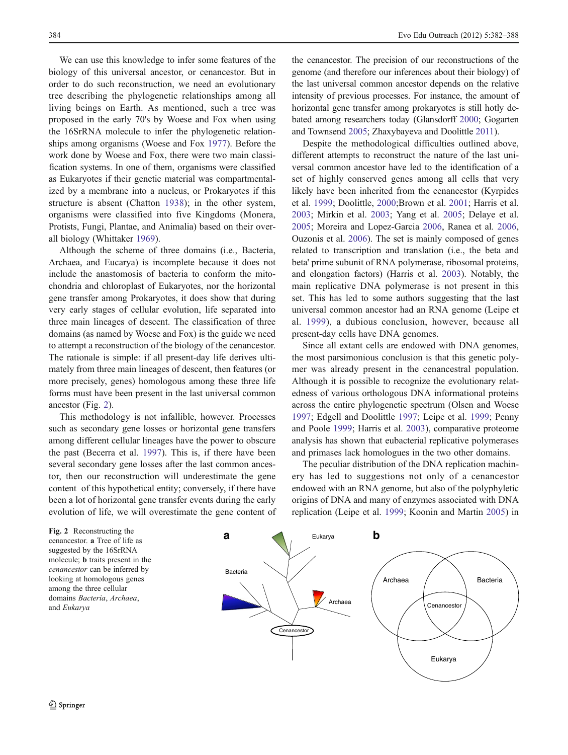We can use this knowledge to infer some features of the biology of this universal ancestor, or cenancestor. But in order to do such reconstruction, we need an evolutionary tree describing the phylogenetic relationships among all living beings on Earth. As mentioned, such a tree was proposed in the early 70's by Woese and Fox when using the 16SrRNA molecule to infer the phylogenetic relationships among organisms (Woese and Fox [1977\)](#page-6-0). Before the work done by Woese and Fox, there were two main classification systems. In one of them, organisms were classified as Eukaryotes if their genetic material was compartmentalized by a membrane into a nucleus, or Prokaryotes if this structure is absent (Chatton [1938](#page-5-0)); in the other system, organisms were classified into five Kingdoms (Monera, Protists, Fungi, Plantae, and Animalia) based on their overall biology (Whittaker [1969\)](#page-6-0).

Although the scheme of three domains (i.e., Bacteria, Archaea, and Eucarya) is incomplete because it does not include the anastomosis of bacteria to conform the mitochondria and chloroplast of Eukaryotes, nor the horizontal gene transfer among Prokaryotes, it does show that during very early stages of cellular evolution, life separated into three main lineages of descent. The classification of three domains (as named by Woese and Fox) is the guide we need to attempt a reconstruction of the biology of the cenancestor. The rationale is simple: if all present-day life derives ultimately from three main lineages of descent, then features (or more precisely, genes) homologous among these three life forms must have been present in the last universal common ancestor (Fig. 2).

This methodology is not infallible, however. Processes such as secondary gene losses or horizontal gene transfers among different cellular lineages have the power to obscure the past (Becerra et al. [1997\)](#page-5-0). This is, if there have been several secondary gene losses after the last common ancestor, then our reconstruction will underestimate the gene content of this hypothetical entity; conversely, if there have been a lot of horizontal gene transfer events during the early evolution of life, we will overestimate the gene content of

the cenancestor. The precision of our reconstructions of the genome (and therefore our inferences about their biology) of the last universal common ancestor depends on the relative intensity of previous processes. For instance, the amount of horizontal gene transfer among prokaryotes is still hotly debated among researchers today (Glansdorff [2000;](#page-5-0) Gogarten and Townsend [2005](#page-5-0); Zhaxybayeva and Doolittle [2011](#page-6-0)).

Despite the methodological difficulties outlined above, different attempts to reconstruct the nature of the last universal common ancestor have led to the identification of a set of highly conserved genes among all cells that very likely have been inherited from the cenancestor (Kyrpides et al. [1999;](#page-5-0) Doolittle, [2000](#page-5-0);Brown et al. [2001](#page-5-0); Harris et al. [2003](#page-5-0); Mirkin et al. [2003;](#page-6-0) Yang et al. [2005;](#page-6-0) Delaye et al. [2005](#page-5-0); Moreira and Lopez-Garcia [2006](#page-6-0), Ranea et al. [2006,](#page-6-0) Ouzonis et al. [2006](#page-6-0)). The set is mainly composed of genes related to transcription and translation (i.e., the beta and beta' prime subunit of RNA polymerase, ribosomal proteins, and elongation factors) (Harris et al. [2003\)](#page-5-0). Notably, the main replicative DNA polymerase is not present in this set. This has led to some authors suggesting that the last universal common ancestor had an RNA genome (Leipe et al. [1999](#page-5-0)), a dubious conclusion, however, because all present-day cells have DNA genomes.

Since all extant cells are endowed with DNA genomes, the most parsimonious conclusion is that this genetic polymer was already present in the cenancestral population. Although it is possible to recognize the evolutionary relatedness of various orthologous DNA informational proteins across the entire phylogenetic spectrum (Olsen and Woese [1997](#page-6-0); Edgell and Doolittle [1997;](#page-5-0) Leipe et al. [1999](#page-5-0); Penny and Poole [1999](#page-6-0); Harris et al. [2003](#page-5-0)), comparative proteome analysis has shown that eubacterial replicative polymerases and primases lack homologues in the two other domains.

The peculiar distribution of the DNA replication machinery has led to suggestions not only of a cenancestor endowed with an RNA genome, but also of the polyphyletic origins of DNA and many of enzymes associated with DNA replication (Leipe et al. [1999](#page-5-0); Koonin and Martin [2005](#page-5-0)) in

cenancestor. a Tree of life as suggested by the 16SrRNA molecule; b traits present in the cenancestor can be inferred by looking at homologous genes among the three cellular domains Bacteria, Archaea, and Eukarya

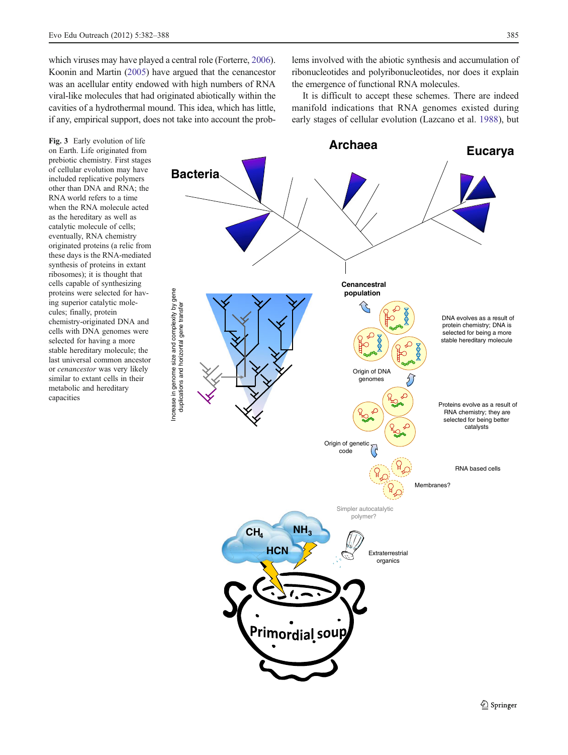<span id="page-3-0"></span>which viruses may have played a central role (Forterre, [2006\)](#page-5-0). Koonin and Martin ([2005](#page-5-0)) have argued that the cenancestor was an acellular entity endowed with high numbers of RNA viral-like molecules that had originated abiotically within the cavities of a hydrothermal mound. This idea, which has little, if any, empirical support, does not take into account the problems involved with the abiotic synthesis and accumulation of ribonucleotides and polyribonucleotides, nor does it explain the emergence of functional RNA molecules.

It is difficult to accept these schemes. There are indeed manifold indications that RNA genomes existed during early stages of cellular evolution (Lazcano et al. [1988\)](#page-5-0), but

Fig. 3 Early evolution of life on Earth. Life originated from prebiotic chemistry. First stages of cellular evolution may have included replicative polymers other than DNA and RNA; the RNA world refers to a time when the RNA molecule acted as the hereditary as well as catalytic molecule of cells; eventually, RNA chemistry originated proteins (a relic from these days is the RNA-mediated synthesis of proteins in extant ribosomes); it is thought that cells capable of synthesizing proteins were selected for having superior catalytic molecules; finally, protein chemistry-originated DNA and cells with DNA genomes were selected for having a more stable hereditary molecule; the last universal common ancestor or cenancestor was very likely similar to extant cells in their metabolic and hereditary capacities

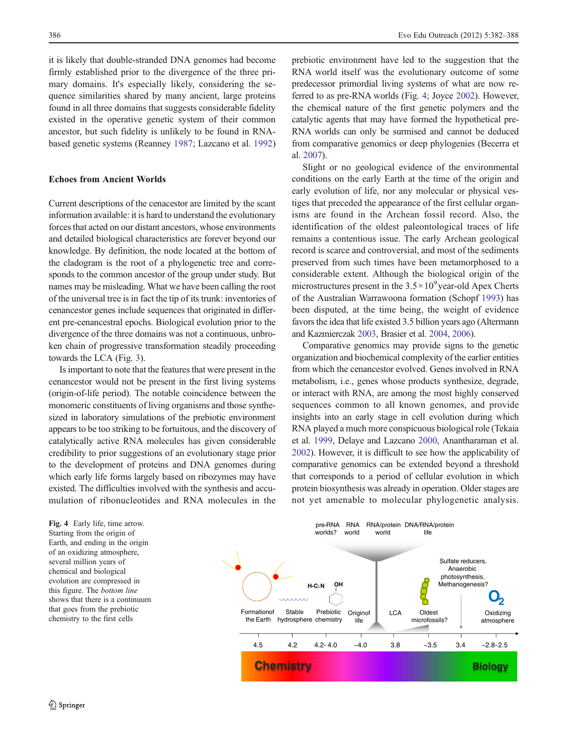it is likely that double-stranded DNA genomes had become firmly established prior to the divergence of the three primary domains. It's especially likely, considering the sequence similarities shared by many ancient, large proteins found in all three domains that suggests considerable fidelity existed in the operative genetic system of their common ancestor, but such fidelity is unlikely to be found in RNAbased genetic systems (Reanney [1987](#page-6-0); Lazcano et al. [1992\)](#page-5-0)

# Echoes from Ancient Worlds

Current descriptions of the cenacestor are limited by the scant information available: it is hard to understand the evolutionary forces that acted on our distant ancestors, whose environments and detailed biological characteristics are forever beyond our knowledge. By definition, the node located at the bottom of the cladogram is the root of a phylogenetic tree and corresponds to the common ancestor of the group under study. But names may be misleading. What we have been calling the root of the universal tree is in fact the tip of its trunk: inventories of cenancestor genes include sequences that originated in different pre-cenancestral epochs. Biological evolution prior to the divergence of the three domains was not a continuous, unbroken chain of progressive transformation steadily proceeding towards the LCA (Fig. [3](#page-3-0)).

Is important to note that the features that were present in the cenancestor would not be present in the first living systems (origin-of-life period). The notable coincidence between the monomeric constituents of living organisms and those synthesized in laboratory simulations of the prebiotic environment appears to be too striking to be fortuitous, and the discovery of catalytically active RNA molecules has given considerable credibility to prior suggestions of an evolutionary stage prior to the development of proteins and DNA genomes during which early life forms largely based on ribozymes may have existed. The difficulties involved with the synthesis and accumulation of ribonucleotides and RNA molecules in the

prebiotic environment have led to the suggestion that the RNA world itself was the evolutionary outcome of some predecessor primordial living systems of what are now referred to as pre-RNA worlds (Fig. 4; Joyce [2002\)](#page-5-0). However, the chemical nature of the first genetic polymers and the catalytic agents that may have formed the hypothetical pre-RNA worlds can only be surmised and cannot be deduced from comparative genomics or deep phylogenies (Becerra et al. [2007\)](#page-5-0).

Slight or no geological evidence of the environmental conditions on the early Earth at the time of the origin and early evolution of life, nor any molecular or physical vestiges that preceded the appearance of the first cellular organisms are found in the Archean fossil record. Also, the identification of the oldest paleontological traces of life remains a contentious issue. The early Archean geological record is scarce and controversial, and most of the sediments preserved from such times have been metamorphosed to a considerable extent. Although the biological origin of the microstructures present in the  $3.5 \times 10^9$  year-old Apex Cherts of the Australian Warrawoona formation (Schopf [1993\)](#page-6-0) has been disputed, at the time being, the weight of evidence favors the idea that life existed 3.5 billion years ago (Altermann and Kazmierczak [2003](#page-5-0), Brasier et al. [2004](#page-5-0), [2006\)](#page-5-0).

Comparative genomics may provide signs to the genetic organization and biochemical complexity of the earlier entities from which the cenancestor evolved. Genes involved in RNA metabolism, i.e., genes whose products synthesize, degrade, or interact with RNA, are among the most highly conserved sequences common to all known genomes, and provide insights into an early stage in cell evolution during which RNA played a much more conspicuous biological role (Tekaia et al. [1999,](#page-6-0) Delaye and Lazcano [2000](#page-5-0), Anantharaman et al. [2002\)](#page-5-0). However, it is difficult to see how the applicability of comparative genomics can be extended beyond a threshold that corresponds to a period of cellular evolution in which protein biosynthesis was already in operation. Older stages are not yet amenable to molecular phylogenetic analysis.

Fig. 4 Early life, time arrow. Starting from the origin of Earth, and ending in the origin of an oxidizing atmosphere, several million years of chemical and biological evolution are compressed in this figure. The bottom line shows that there is a continuum that goes from the prebiotic chemistry to the first cells

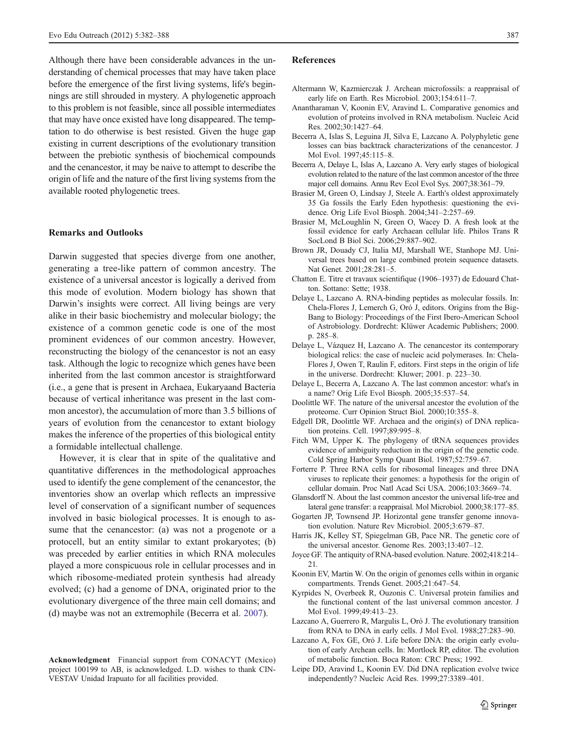<span id="page-5-0"></span>Although there have been considerable advances in the understanding of chemical processes that may have taken place before the emergence of the first living systems, life's beginnings are still shrouded in mystery. A phylogenetic approach to this problem is not feasible, since all possible intermediates that may have once existed have long disappeared. The temptation to do otherwise is best resisted. Given the huge gap existing in current descriptions of the evolutionary transition between the prebiotic synthesis of biochemical compounds and the cenancestor, it may be naive to attempt to describe the origin of life and the nature of the first living systems from the available rooted phylogenetic trees.

## Remarks and Outlooks

Darwin suggested that species diverge from one another, generating a tree-like pattern of common ancestry. The existence of a universal ancestor is logically a derived from this mode of evolution. Modern biology has shown that Darwin's insights were correct. All living beings are very alike in their basic biochemistry and molecular biology; the existence of a common genetic code is one of the most prominent evidences of our common ancestry. However, reconstructing the biology of the cenancestor is not an easy task. Although the logic to recognize which genes have been inherited from the last common ancestor is straightforward (i.e., a gene that is present in Archaea, Eukaryaand Bacteria because of vertical inheritance was present in the last common ancestor), the accumulation of more than 3.5 billions of years of evolution from the cenancestor to extant biology makes the inference of the properties of this biological entity a formidable intellectual challenge.

However, it is clear that in spite of the qualitative and quantitative differences in the methodological approaches used to identify the gene complement of the cenancestor, the inventories show an overlap which reflects an impressive level of conservation of a significant number of sequences involved in basic biological processes. It is enough to assume that the cenancestor: (a) was not a progenote or a protocell, but an entity similar to extant prokaryotes; (b) was preceded by earlier entities in which RNA molecules played a more conspicuous role in cellular processes and in which ribosome-mediated protein synthesis had already evolved; (c) had a genome of DNA, originated prior to the evolutionary divergence of the three main cell domains; and (d) maybe was not an extremophile (Becerra et al. 2007).

#### References

- Altermann W, Kazmierczak J. Archean microfossils: a reappraisal of early life on Earth. Res Microbiol. 2003;154:611–7.
- Anantharaman V, Koonin EV, Aravind L. Comparative genomics and evolution of proteins involved in RNA metabolism. Nucleic Acid Res. 2002;30:1427–64.
- Becerra A, Islas S, Leguina JI, Silva E, Lazcano A. Polyphyletic gene losses can bias backtrack characterizations of the cenancestor. J Mol Evol. 1997;45:115–8.
- Becerra A, Delaye L, Islas A, Lazcano A. Very early stages of biological evolution related to the nature of the last common ancestor of the three major cell domains. Annu Rev Ecol Evol Sys. 2007;38:361–79.
- Brasier M, Green O, Lindsay J, Steele A. Earth's oldest approximately 35 Ga fossils the Early Eden hypothesis: questioning the evidence. Orig Life Evol Biosph. 2004;341–2:257–69.
- Brasier M, McLoughlin N, Green O, Wacey D. A fresh look at the fossil evidence for early Archaean cellular life. Philos Trans R SocLond B Biol Sci. 2006;29:887–902.
- Brown JR, Douady CJ, Italia MJ, Marshall WE, Stanhope MJ. Universal trees based on large combined protein sequence datasets. Nat Genet. 2001;28:281–5.
- Chatton E. Titre et travaux scientifique (1906–1937) de Edouard Chatton. Sottano: Sette; 1938.
- Delaye L, Lazcano A. RNA-binding peptides as molecular fossils. In: Chela-Flores J, Lemerch G, Oró J, editors. Origins from the Big-Bang to Biology: Proceedings of the First Ibero-American School of Astrobiology. Dordrecht: Klüwer Academic Publishers; 2000. p. 285–8.
- Delaye L, Vázquez H, Lazcano A. The cenancestor its contemporary biological relics: the case of nucleic acid polymerases. In: Chela-Flores J, Owen T, Raulin F, editors. First steps in the origin of life in the universe. Dordrecht: Kluwer; 2001. p. 223–30.
- Delaye L, Becerra A, Lazcano A. The last common ancestor: what's in a name? Orig Life Evol Biosph. 2005;35:537–54.
- Doolittle WF. The nature of the universal ancestor the evolution of the proteome. Curr Opinion Struct Biol. 2000;10:355–8.
- Edgell DR, Doolittle WF. Archaea and the origin(s) of DNA replication proteins. Cell. 1997;89:995–8.
- Fitch WM, Upper K. The phylogeny of tRNA sequences provides evidence of ambiguity reduction in the origin of the genetic code. Cold Spring Harbor Symp Quant Biol. 1987;52:759–67.
- Forterre P. Three RNA cells for ribosomal lineages and three DNA viruses to replicate their genomes: a hypothesis for the origin of cellular domain. Proc Natl Acad Sci USA. 2006;103:3669–74.
- Glansdorff N. About the last common ancestor the universal life-tree and lateral gene transfer: a reappraisal. Mol Microbiol. 2000;38:177–85.
- Gogarten JP, Townsend JP. Horizontal gene transfer genome innovation evolution. Nature Rev Microbiol. 2005;3:679–87.
- Harris JK, Kelley ST, Spiegelman GB, Pace NR. The genetic core of the universal ancestor. Genome Res. 2003;13:407–12.
- Joyce GF. The antiquity of RNA-based evolution. Nature. 2002;418:214– 21.
- Koonin EV, Martin W. On the origin of genomes cells within in organic compartments. Trends Genet. 2005;21:647–54.
- Kyrpides N, Overbeek R, Ouzonis C. Universal protein families and the functional content of the last universal common ancestor. J Mol Evol. 1999;49:413–23.
- Lazcano A, Guerrero R, Margulis L, Oró J. The evolutionary transition from RNA to DNA in early cells. J Mol Evol. 1988;27:283–90.
- Lazcano A, Fox GE, Oró J. Life before DNA: the origin early evolution of early Archean cells. In: Mortlock RP, editor. The evolution of metabolic function. Boca Raton: CRC Press; 1992.
- Leipe DD, Aravind L, Koonin EV. Did DNA replication evolve twice independently? Nucleic Acid Res. 1999;27:3389–401.

Acknowledgment Financial support from CONACYT (Mexico) project 100199 to AB, is acknowledged. L.D. wishes to thank CIN-VESTAV Unidad Irapuato for all facilities provided.